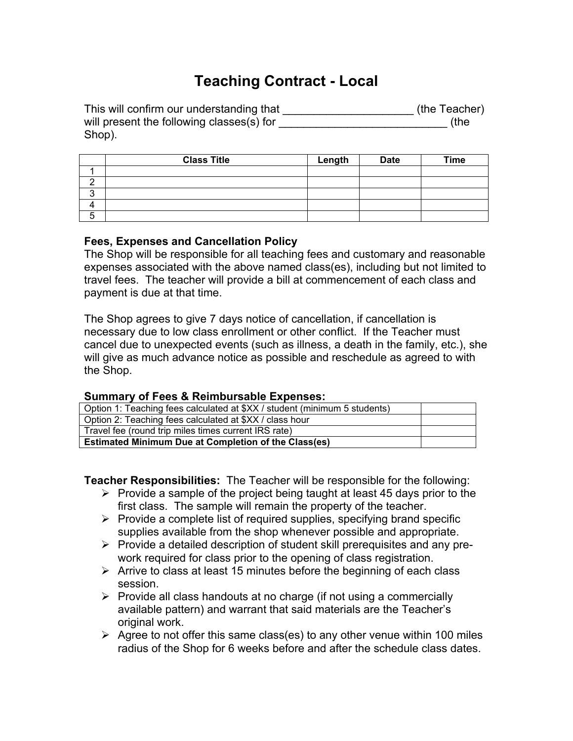## **Teaching Contract - Local**

| This will confirm our understanding that  | (the Teacher) |
|-------------------------------------------|---------------|
| will present the following classes(s) for | (the          |
| Shop).                                    |               |

|   | <b>Class Title</b> | Length | <b>Date</b> | <b>Time</b> |
|---|--------------------|--------|-------------|-------------|
|   |                    |        |             |             |
|   |                    |        |             |             |
| ◠ |                    |        |             |             |
|   |                    |        |             |             |
| ∽ |                    |        |             |             |

## **Fees, Expenses and Cancellation Policy**

The Shop will be responsible for all teaching fees and customary and reasonable expenses associated with the above named class(es), including but not limited to travel fees. The teacher will provide a bill at commencement of each class and payment is due at that time.

The Shop agrees to give 7 days notice of cancellation, if cancellation is necessary due to low class enrollment or other conflict. If the Teacher must cancel due to unexpected events (such as illness, a death in the family, etc.), she will give as much advance notice as possible and reschedule as agreed to with the Shop.

## **Summary of Fees & Reimbursable Expenses:**

| Option 1: Teaching fees calculated at \$XX / student (minimum 5 students) |  |  |
|---------------------------------------------------------------------------|--|--|
| Option 2: Teaching fees calculated at \$XX / class hour                   |  |  |
| Travel fee (round trip miles times current IRS rate)                      |  |  |
| <b>Estimated Minimum Due at Completion of the Class(es)</b>               |  |  |

**Teacher Responsibilities:** The Teacher will be responsible for the following:

- $\triangleright$  Provide a sample of the project being taught at least 45 days prior to the first class. The sample will remain the property of the teacher.
- $\triangleright$  Provide a complete list of required supplies, specifying brand specific supplies available from the shop whenever possible and appropriate.
- $\triangleright$  Provide a detailed description of student skill prerequisites and any prework required for class prior to the opening of class registration.
- $\triangleright$  Arrive to class at least 15 minutes before the beginning of each class session.
- $\triangleright$  Provide all class handouts at no charge (if not using a commercially available pattern) and warrant that said materials are the Teacher's original work.
- $\triangleright$  Agree to not offer this same class(es) to any other venue within 100 miles radius of the Shop for 6 weeks before and after the schedule class dates.